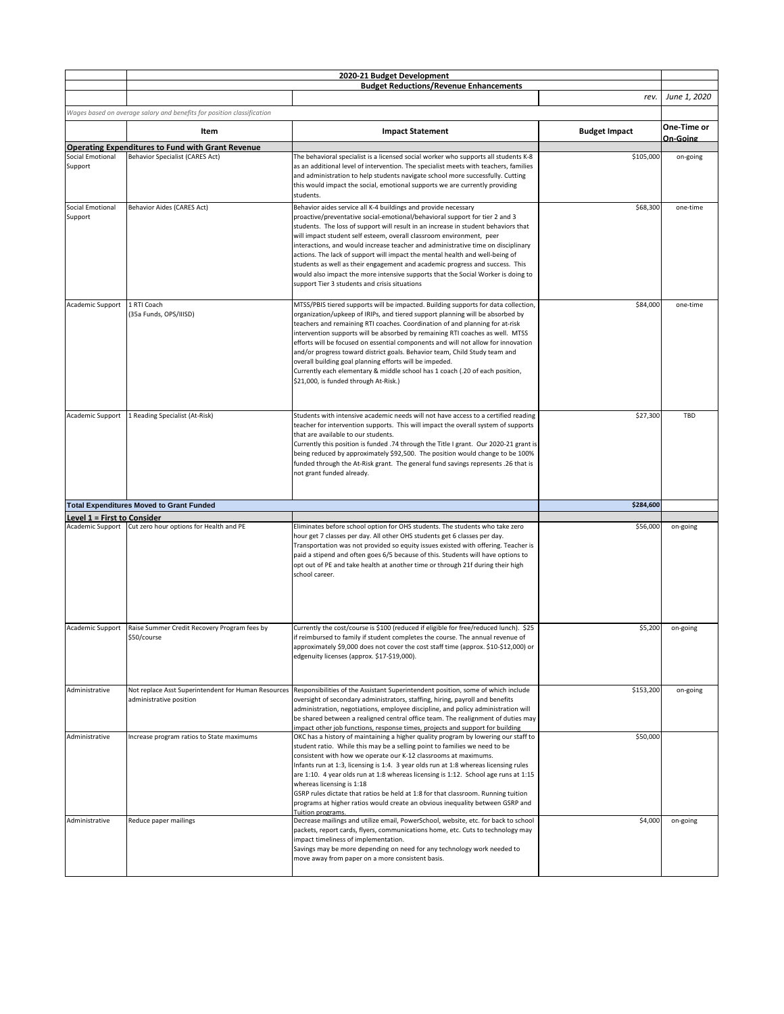|                                    |                                                                        | 2020-21 Budget Development                                                                                                                                                  |                      |              |
|------------------------------------|------------------------------------------------------------------------|-----------------------------------------------------------------------------------------------------------------------------------------------------------------------------|----------------------|--------------|
|                                    |                                                                        | <b>Budget Reductions/Revenue Enhancements</b>                                                                                                                               |                      |              |
|                                    |                                                                        |                                                                                                                                                                             | rev.                 | June 1, 2020 |
|                                    | Wages based on average salary and benefits for position classification |                                                                                                                                                                             |                      |              |
|                                    |                                                                        |                                                                                                                                                                             |                      | One-Time or  |
|                                    | Item                                                                   | <b>Impact Statement</b>                                                                                                                                                     | <b>Budget Impact</b> | On-Going     |
|                                    | <b>Operating Expenditures to Fund with Grant Revenue</b>               |                                                                                                                                                                             |                      |              |
| Social Emotional                   | <b>Behavior Specialist (CARES Act)</b>                                 | The behavioral specialist is a licensed social worker who supports all students K-8                                                                                         | \$105,000            | on-going     |
| Support                            |                                                                        | as an additional level of intervention. The specialist meets with teachers, families                                                                                        |                      |              |
|                                    |                                                                        | and administration to help students navigate school more successfully. Cutting<br>this would impact the social, emotional supports we are currently providing               |                      |              |
|                                    |                                                                        | students.                                                                                                                                                                   |                      |              |
| <b>Social Emotional</b>            | <b>Behavior Aides (CARES Act)</b>                                      | Behavior aides service all K-4 buildings and provide necessary                                                                                                              | \$68,300             | one-time     |
| Support                            |                                                                        | proactive/preventative social-emotional/behavioral support for tier 2 and 3                                                                                                 |                      |              |
|                                    |                                                                        | students. The loss of support will result in an increase in student behaviors that                                                                                          |                      |              |
|                                    |                                                                        | will impact student self esteem, overall classroom environment, peer                                                                                                        |                      |              |
|                                    |                                                                        | interactions, and would increase teacher and administrative time on disciplinary                                                                                            |                      |              |
|                                    |                                                                        | actions. The lack of support will impact the mental health and well-being of<br>students as well as their engagement and academic progress and success. This                |                      |              |
|                                    |                                                                        | would also impact the more intensive supports that the Social Worker is doing to                                                                                            |                      |              |
|                                    |                                                                        | support Tier 3 students and crisis situations                                                                                                                               |                      |              |
|                                    |                                                                        |                                                                                                                                                                             |                      |              |
| Academic Support                   | 1 RTI Coach                                                            | MTSS/PBIS tiered supports will be impacted. Building supports for data collection,                                                                                          | \$84,000             | one-time     |
|                                    | (35a Funds, OPS/IIISD)                                                 | organization/upkeep of IRIPs, and tiered support planning will be absorbed by                                                                                               |                      |              |
|                                    |                                                                        | teachers and remaining RTI coaches. Coordination of and planning for at-risk<br>intervention supports will be absorbed by remaining RTI coaches as well. MTSS               |                      |              |
|                                    |                                                                        | efforts will be focused on essential components and will not allow for innovation                                                                                           |                      |              |
|                                    |                                                                        | and/or progress toward district goals. Behavior team, Child Study team and                                                                                                  |                      |              |
|                                    |                                                                        | overall building goal planning efforts will be impeded.                                                                                                                     |                      |              |
|                                    |                                                                        | Currently each elementary & middle school has 1 coach (.20 of each position,                                                                                                |                      |              |
|                                    |                                                                        | \$21,000, is funded through At-Risk.)                                                                                                                                       |                      |              |
|                                    |                                                                        |                                                                                                                                                                             |                      |              |
|                                    |                                                                        |                                                                                                                                                                             |                      |              |
| Academic Support                   | 1 Reading Specialist (At-Risk)                                         | Students with intensive academic needs will not have access to a certified reading                                                                                          | \$27,300             | TBD          |
|                                    |                                                                        | teacher for intervention supports. This will impact the overall system of supports                                                                                          |                      |              |
|                                    |                                                                        | that are available to our students.<br>Currently this position is funded .74 through the Title I grant. Our 2020-21 grant is                                                |                      |              |
|                                    |                                                                        | being reduced by approximately \$92,500. The position would change to be 100%                                                                                               |                      |              |
|                                    |                                                                        | funded through the At-Risk grant. The general fund savings represents .26 that is                                                                                           |                      |              |
|                                    |                                                                        | not grant funded already.                                                                                                                                                   |                      |              |
|                                    |                                                                        |                                                                                                                                                                             |                      |              |
|                                    |                                                                        |                                                                                                                                                                             |                      |              |
|                                    | <b>Total Expenditures Moved to Grant Funded</b>                        |                                                                                                                                                                             | \$284,600            |              |
| <b>Level 1 = First to Consider</b> | Academic Support Cut zero hour options for Health and PE               | Eliminates before school option for OHS students. The students who take zero                                                                                                | \$56,000             | on-going     |
|                                    |                                                                        | hour get 7 classes per day. All other OHS students get 6 classes per day.                                                                                                   |                      |              |
|                                    |                                                                        | Transportation was not provided so equity issues existed with offering. Teacher is                                                                                          |                      |              |
|                                    |                                                                        | paid a stipend and often goes 6/5 because of this. Students will have options to                                                                                            |                      |              |
|                                    |                                                                        | opt out of PE and take health at another time or through 21f during their high                                                                                              |                      |              |
|                                    |                                                                        | school career.                                                                                                                                                              |                      |              |
|                                    |                                                                        |                                                                                                                                                                             |                      |              |
|                                    |                                                                        |                                                                                                                                                                             |                      |              |
|                                    |                                                                        |                                                                                                                                                                             |                      |              |
| Academic Support                   | Raise Summer Credit Recovery Program fees by                           | Currently the cost/course is \$100 (reduced if eligible for free/reduced lunch). \$25                                                                                       | \$5,200              | on-going     |
|                                    | \$50/course                                                            | if reimbursed to family if student completes the course. The annual revenue of                                                                                              |                      |              |
|                                    |                                                                        | approximately \$9,000 does not cover the cost staff time (approx. \$10-\$12,000) or                                                                                         |                      |              |
|                                    |                                                                        | edgenuity licenses (approx. \$17-\$19,000).                                                                                                                                 |                      |              |
|                                    |                                                                        |                                                                                                                                                                             |                      |              |
|                                    |                                                                        |                                                                                                                                                                             |                      |              |
| Administrative                     | Not replace Asst Superintendent for Human Resources                    | Responsibilities of the Assistant Superintendent position, some of which include                                                                                            | \$153,200            | on-going     |
|                                    | administrative position                                                | oversight of secondary administrators, staffing, hiring, payroll and benefits                                                                                               |                      |              |
|                                    |                                                                        | administration, negotiations, employee discipline, and policy administration will<br>be shared between a realigned central office team. The realignment of duties may       |                      |              |
|                                    |                                                                        | impact other job functions, response times, projects and support for building                                                                                               |                      |              |
| Administrative                     | Increase program ratios to State maximums                              | OKC has a history of maintaining a higher quality program by lowering our staff to                                                                                          | \$50,000             |              |
|                                    |                                                                        | student ratio. While this may be a selling point to families we need to be                                                                                                  |                      |              |
|                                    |                                                                        | consistent with how we operate our K-12 classrooms at maximums.                                                                                                             |                      |              |
|                                    |                                                                        | Infants run at 1:3, licensing is 1:4. 3 year olds run at 1:8 whereas licensing rules<br>are 1:10. 4 year olds run at 1:8 whereas licensing is 1:12. School age runs at 1:15 |                      |              |
|                                    |                                                                        | whereas licensing is 1:18                                                                                                                                                   |                      |              |
|                                    |                                                                        | GSRP rules dictate that ratios be held at 1:8 for that classroom. Running tuition                                                                                           |                      |              |
|                                    |                                                                        | programs at higher ratios would create an obvious inequality between GSRP and                                                                                               |                      |              |
|                                    |                                                                        | Tuition programs                                                                                                                                                            |                      |              |
| Administrative                     | Reduce paper mailings                                                  | Decrease mailings and utilize email, PowerSchool, website, etc. for back to school<br>packets, report cards, flyers, communications home, etc. Cuts to technology may       | \$4,000              | on-going     |
|                                    |                                                                        | impact timeliness of implementation.                                                                                                                                        |                      |              |
|                                    |                                                                        | Savings may be more depending on need for any technology work needed to                                                                                                     |                      |              |
|                                    |                                                                        | move away from paper on a more consistent basis.                                                                                                                            |                      |              |
|                                    |                                                                        |                                                                                                                                                                             |                      |              |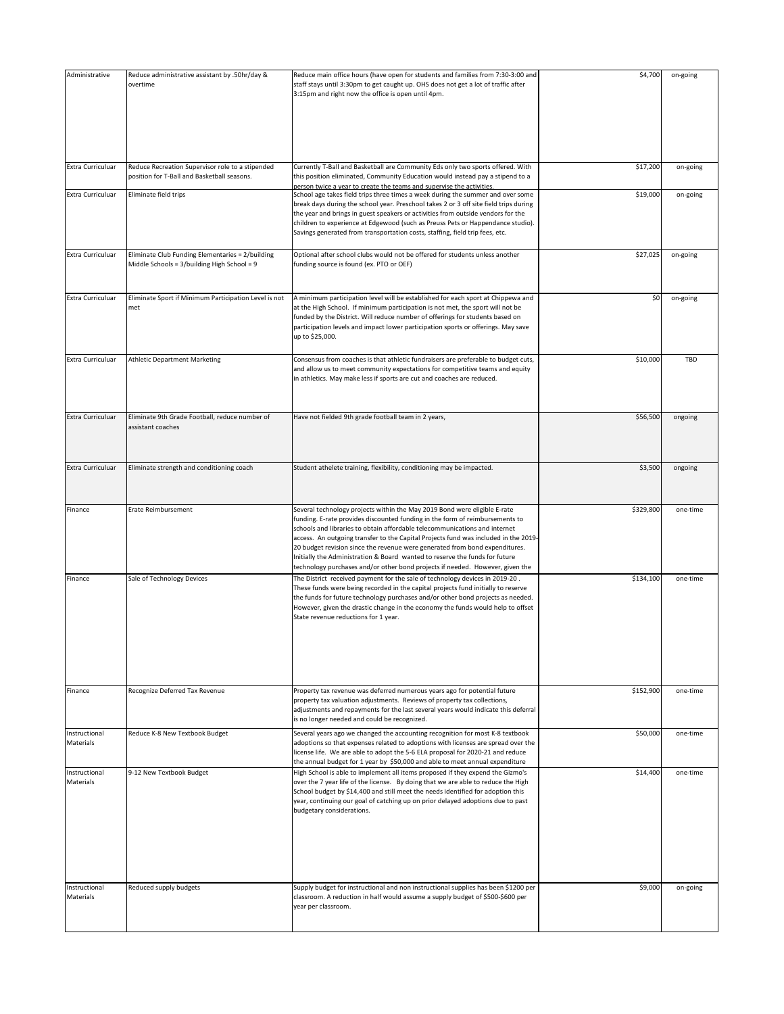| Administrative             | Reduce administrative assistant by .50hr/day &<br>overtime                                      | Reduce main office hours (have open for students and families from 7:30-3:00 and<br>staff stays until 3:30pm to get caught up. OHS does not get a lot of traffic after<br>3:15pm and right now the office is open until 4pm.                                                                                                                                                                                                                                                                                                                                                  | \$4,700   | on-going   |
|----------------------------|-------------------------------------------------------------------------------------------------|-------------------------------------------------------------------------------------------------------------------------------------------------------------------------------------------------------------------------------------------------------------------------------------------------------------------------------------------------------------------------------------------------------------------------------------------------------------------------------------------------------------------------------------------------------------------------------|-----------|------------|
| Extra Curriculuar          | Reduce Recreation Supervisor role to a stipended<br>position for T-Ball and Basketball seasons. | Currently T-Ball and Basketball are Community Eds only two sports offered. With<br>this position eliminated, Community Education would instead pay a stipend to a                                                                                                                                                                                                                                                                                                                                                                                                             | \$17,200  | on-going   |
| Extra Curriculuar          | Eliminate field trips                                                                           | person twice a year to create the teams and supervise the activities.<br>School age takes field trips three times a week during the summer and over some<br>break days during the school year. Preschool takes 2 or 3 off site field trips during<br>the year and brings in guest speakers or activities from outside vendors for the<br>children to experience at Edgewood (such as Preuss Pets or Happendance studio).<br>Savings generated from transportation costs, staffing, field trip fees, etc.                                                                      | \$19,000  | on-going   |
| Extra Curriculuar          | Eliminate Club Funding Elementaries = 2/building<br>Middle Schools = 3/building High School = 9 | Optional after school clubs would not be offered for students unless another<br>funding source is found (ex. PTO or OEF)                                                                                                                                                                                                                                                                                                                                                                                                                                                      | \$27,025  | on-going   |
| Extra Curriculuar          | Eliminate Sport if Minimum Participation Level is not<br>met                                    | A minimum participation level will be established for each sport at Chippewa and<br>at the High School. If minimum participation is not met, the sport will not be<br>funded by the District. Will reduce number of offerings for students based on<br>participation levels and impact lower participation sports or offerings. May save<br>up to \$25,000.                                                                                                                                                                                                                   | \$0       | on-going   |
| Extra Curriculuar          | <b>Athletic Department Marketing</b>                                                            | Consensus from coaches is that athletic fundraisers are preferable to budget cuts,<br>and allow us to meet community expectations for competitive teams and equity<br>in athletics. May make less if sports are cut and coaches are reduced.                                                                                                                                                                                                                                                                                                                                  | \$10,000  | <b>TBD</b> |
| Extra Curriculuar          | Eliminate 9th Grade Football, reduce number of<br>assistant coaches                             | Have not fielded 9th grade football team in 2 years,                                                                                                                                                                                                                                                                                                                                                                                                                                                                                                                          | \$56,500  | ongoing    |
| Extra Curriculuar          | Eliminate strength and conditioning coach                                                       | Student athelete training, flexibility, conditioning may be impacted.                                                                                                                                                                                                                                                                                                                                                                                                                                                                                                         | \$3,500   | ongoing    |
| Finance                    | <b>Erate Reimbursement</b>                                                                      | Several technology projects within the May 2019 Bond were eligible E-rate<br>funding. E-rate provides discounted funding in the form of reimbursements to<br>schools and libraries to obtain affordable telecommunications and internet<br>access. An outgoing transfer to the Capital Projects fund was included in the 2019-<br>20 budget revision since the revenue were generated from bond expenditures.<br>Initially the Administration & Board wanted to reserve the funds for future<br>technology purchases and/or other bond projects if needed. However, given the | \$329,800 | one-time   |
| Finance                    | Sale of Technology Devices                                                                      | The District received payment for the sale of technology devices in 2019-20.<br>These funds were being recorded in the capital projects fund initially to reserve<br>the funds for future technology purchases and/or other bond projects as needed.<br>However, given the drastic change in the economy the funds would help to offset<br>State revenue reductions for 1 year.                                                                                                                                                                                               | \$134,100 | one-time   |
| Finance                    | Recognize Deferred Tax Revenue                                                                  | Property tax revenue was deferred numerous years ago for potential future<br>property tax valuation adjustments. Reviews of property tax collections,<br>adjustments and repayments for the last several years would indicate this deferral<br>is no longer needed and could be recognized.                                                                                                                                                                                                                                                                                   | \$152,900 | one-time   |
| Instructional<br>Materials | Reduce K-8 New Textbook Budget                                                                  | Several years ago we changed the accounting recognition for most K-8 textbook<br>adoptions so that expenses related to adoptions with licenses are spread over the<br>license life. We are able to adopt the 5-6 ELA proposal for 2020-21 and reduce<br>the annual budget for 1 year by \$50,000 and able to meet annual expenditure                                                                                                                                                                                                                                          | \$50,000  | one-time   |
| Instructional<br>Materials | 9-12 New Textbook Budget                                                                        | High School is able to implement all items proposed if they expend the Gizmo's<br>over the 7 year life of the license. By doing that we are able to reduce the High<br>School budget by \$14,400 and still meet the needs identified for adoption this<br>year, continuing our goal of catching up on prior delayed adoptions due to past<br>budgetary considerations.                                                                                                                                                                                                        | \$14,400  | one-time   |
| Instructional<br>Materials | Reduced supply budgets                                                                          | Supply budget for instructional and non instructional supplies has been \$1200 per<br>classroom. A reduction in half would assume a supply budget of \$500-\$600 per<br>year per classroom.                                                                                                                                                                                                                                                                                                                                                                                   | \$9,000   | on-going   |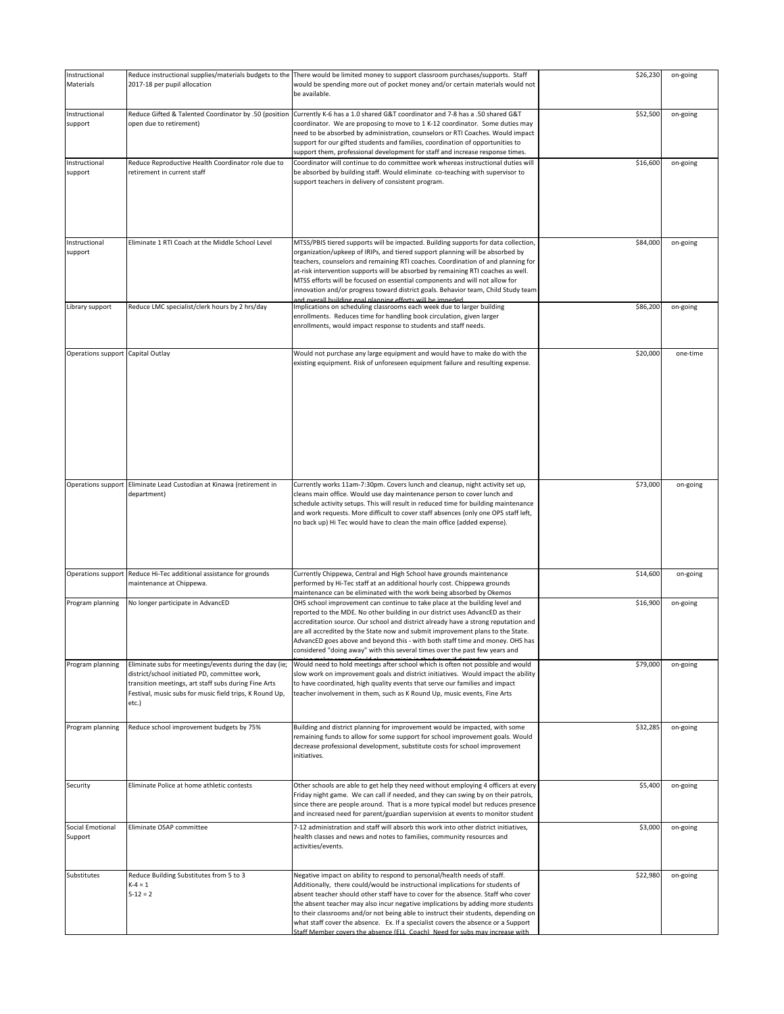| Instructional<br>Materials         | 2017-18 per pupil allocation                                                                                                                                                                                                        | Reduce instructional supplies/materials budgets to the There would be limited money to support classroom purchases/supports. Staff<br>would be spending more out of pocket money and/or certain materials would not<br>be available.                                                                                                                                                                                                                                                                                                                                                        | \$26,230 | on-going |
|------------------------------------|-------------------------------------------------------------------------------------------------------------------------------------------------------------------------------------------------------------------------------------|---------------------------------------------------------------------------------------------------------------------------------------------------------------------------------------------------------------------------------------------------------------------------------------------------------------------------------------------------------------------------------------------------------------------------------------------------------------------------------------------------------------------------------------------------------------------------------------------|----------|----------|
| Instructional<br>support           | Reduce Gifted & Talented Coordinator by .50 (position<br>open due to retirement)                                                                                                                                                    | Currently K-6 has a 1.0 shared G&T coordinator and 7-8 has a .50 shared G&T<br>coordinator. We are proposing to move to 1 K-12 coordinator. Some duties may<br>need to be absorbed by administration, counselors or RTI Coaches. Would impact<br>support for our gifted students and families, coordination of opportunities to<br>support them, professional development for staff and increase response times.                                                                                                                                                                            | \$52,500 | on-going |
| Instructional<br>support           | Reduce Reproductive Health Coordinator role due to<br>retirement in current staff                                                                                                                                                   | Coordinator will continue to do committee work whereas instructional duties will<br>be absorbed by building staff. Would eliminate co-teaching with supervisor to<br>support teachers in delivery of consistent program.                                                                                                                                                                                                                                                                                                                                                                    | \$16,600 | on-going |
| Instructional<br>support           | Eliminate 1 RTI Coach at the Middle School Level                                                                                                                                                                                    | MTSS/PBIS tiered supports will be impacted. Building supports for data collection,<br>organization/upkeep of IRIPs, and tiered support planning will be absorbed by<br>teachers, counselors and remaining RTI coaches. Coordination of and planning for<br>at-risk intervention supports will be absorbed by remaining RTI coaches as well.<br>MTSS efforts will be focused on essential components and will not allow for<br>innovation and/or progress toward district goals. Behavior team, Child Study team<br>and overall building goal planning efforts will be impeded.              | \$84,000 | on-going |
| Library support                    | Reduce LMC specialist/clerk hours by 2 hrs/day                                                                                                                                                                                      | Implications on scheduling classrooms each week due to larger building<br>enrollments. Reduces time for handling book circulation, given larger<br>enrollments, would impact response to students and staff needs.                                                                                                                                                                                                                                                                                                                                                                          | \$86,200 | on-going |
| Operations support Capital Outlay  |                                                                                                                                                                                                                                     | Would not purchase any large equipment and would have to make do with the<br>existing equipment. Risk of unforeseen equipment failure and resulting expense.                                                                                                                                                                                                                                                                                                                                                                                                                                | \$20,000 | one-time |
| Operations support                 | Eliminate Lead Custodian at Kinawa (retirement in<br>department)                                                                                                                                                                    | Currently works 11am-7:30pm. Covers lunch and cleanup, night activity set up,<br>cleans main office. Would use day maintenance person to cover lunch and<br>schedule activity setups. This will result in reduced time for building maintenance<br>and work requests. More difficult to cover staff absences (only one OPS staff left,<br>no back up) Hi Tec would have to clean the main office (added expense).                                                                                                                                                                           | \$73,000 | on-going |
| Operations support                 | Reduce Hi-Tec additional assistance for grounds<br>maintenance at Chippewa.                                                                                                                                                         | Currently Chippewa, Central and High School have grounds maintenance<br>performed by Hi-Tec staff at an additional hourly cost. Chippewa grounds<br>maintenance can be eliminated with the work being absorbed by Okemos                                                                                                                                                                                                                                                                                                                                                                    | \$14,600 | on-going |
| Program planning                   | No longer participate in AdvancED                                                                                                                                                                                                   | OHS school improvement can continue to take place at the building level and<br>reported to the MDE. No other building in our district uses AdvancED as their<br>accreditation source. Our school and district already have a strong reputation and<br>are all accredited by the State now and submit improvement plans to the State.<br>AdvancED goes above and beyond this - with both staff time and money. OHS has<br>considered "doing away" with this several times over the past few years and                                                                                        | \$16,900 | on-going |
| Program planning                   | Eliminate subs for meetings/events during the day (ie;<br>district/school initiated PD, committee work,<br>transition meetings, art staff subs during Fine Arts<br>Festival, music subs for music field trips, K Round Up,<br>etc.) | Would need to hold meetings after school which is often not possible and would<br>slow work on improvement goals and district initiatives. Would impact the ability<br>to have coordinated, high quality events that serve our families and impact<br>teacher involvement in them, such as K Round Up, music events, Fine Arts                                                                                                                                                                                                                                                              | \$79,000 | on-going |
| Program planning                   | Reduce school improvement budgets by 75%                                                                                                                                                                                            | Building and district planning for improvement would be impacted, with some<br>remaining funds to allow for some support for school improvement goals. Would<br>decrease professional development, substitute costs for school improvement<br>initiatives.                                                                                                                                                                                                                                                                                                                                  | \$32,285 | on-going |
| Security                           | Eliminate Police at home athletic contests                                                                                                                                                                                          | Other schools are able to get help they need without employing 4 officers at every<br>Friday night game. We can call if needed, and they can swing by on their patrols,<br>since there are people around. That is a more typical model but reduces presence<br>and increased need for parent/guardian supervision at events to monitor student                                                                                                                                                                                                                                              | \$5,400  | on-going |
| <b>Social Emotional</b><br>Support | Eliminate OSAP committee                                                                                                                                                                                                            | 7-12 administration and staff will absorb this work into other district initiatives,<br>health classes and news and notes to families, community resources and<br>activities/events.                                                                                                                                                                                                                                                                                                                                                                                                        | \$3,000  | on-going |
| Substitutes                        | Reduce Building Substitutes from 5 to 3<br>$K-4 = 1$<br>$5 - 12 = 2$                                                                                                                                                                | Negative impact on ability to respond to personal/health needs of staff.<br>Additionally, there could/would be instructional implications for students of<br>absent teacher should other staff have to cover for the absence. Staff who cover<br>the absent teacher may also incur negative implications by adding more students<br>to their classrooms and/or not being able to instruct their students, depending on<br>what staff cover the absence. Ex. If a specialist covers the absence or a Support<br>Staff Member covers the absence (ELL Coach). Need for subs may increase with | \$22,980 | on-going |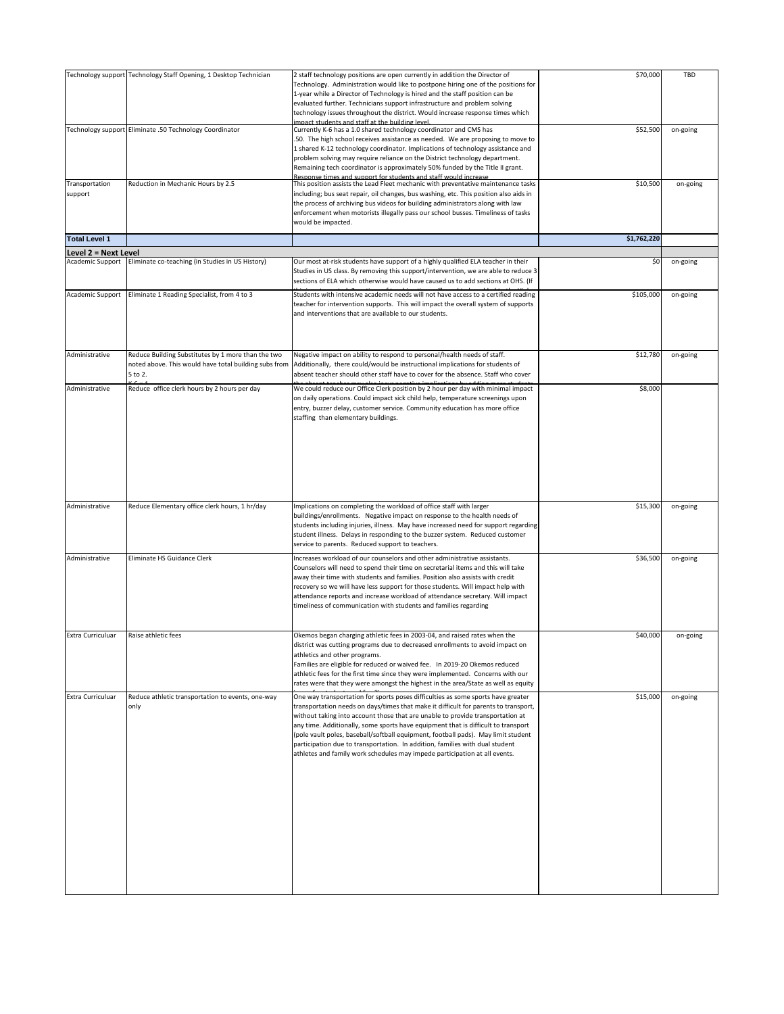|                                          | Technology support Technology Staff Opening, 1 Desktop Technician                                                      | 2 staff technology positions are open currently in addition the Director of<br>Technology. Administration would like to postpone hiring one of the positions for<br>1-year while a Director of Technology is hired and the staff position can be<br>evaluated further. Technicians support infrastructure and problem solving<br>technology issues throughout the district. Would increase response times which                                                                                                                                                                                   | \$70,000    | TBD      |
|------------------------------------------|------------------------------------------------------------------------------------------------------------------------|---------------------------------------------------------------------------------------------------------------------------------------------------------------------------------------------------------------------------------------------------------------------------------------------------------------------------------------------------------------------------------------------------------------------------------------------------------------------------------------------------------------------------------------------------------------------------------------------------|-------------|----------|
|                                          | Technology support Eliminate .50 Technology Coordinator                                                                | level pribliud and the the triple to the set of the<br>Currently K-6 has a 1.0 shared technology coordinator and CMS has<br>50. The high school receives assistance as needed. We are proposing to move to<br>1 shared K-12 technology coordinator. Implications of technology assistance and<br>problem solving may require reliance on the District technology department.<br>Remaining tech coordinator is approximately 50% funded by the Title II grant.<br>Resnonse times and sunnort for students and staff would increase                                                                 | \$52,500    | on-going |
| Transportation<br>support                | Reduction in Mechanic Hours by 2.5                                                                                     | This position assists the Lead Fleet mechanic with preventative maintenance tasks<br>including; bus seat repair, oil changes, bus washing, etc. This position also aids in<br>the process of archiving bus videos for building administrators along with law<br>enforcement when motorists illegally pass our school busses. Timeliness of tasks<br>would be impacted.                                                                                                                                                                                                                            | \$10,500    | on-going |
| <b>Total Level 1</b>                     |                                                                                                                        |                                                                                                                                                                                                                                                                                                                                                                                                                                                                                                                                                                                                   | \$1,762,220 |          |
| Level 2 = Next Level<br>Academic Support | Eliminate co-teaching (in Studies in US History)                                                                       | Our most at-risk students have support of a highly qualified ELA teacher in their                                                                                                                                                                                                                                                                                                                                                                                                                                                                                                                 | \$0         | on-going |
|                                          |                                                                                                                        | Studies in US class. By removing this support/intervention, we are able to reduce 3<br>sections of ELA which otherwise would have caused us to add sections at OHS. (If                                                                                                                                                                                                                                                                                                                                                                                                                           |             |          |
| Academic Support                         | Eliminate 1 Reading Specialist, from 4 to 3                                                                            | Students with intensive academic needs will not have access to a certified reading<br>teacher for intervention supports. This will impact the overall system of supports<br>and interventions that are available to our students.                                                                                                                                                                                                                                                                                                                                                                 | \$105,000   | on-going |
| Administrative                           | Reduce Building Substitutes by 1 more than the two<br>noted above. This would have total building subs from<br>5 to 2. | Negative impact on ability to respond to personal/health needs of staff.<br>Additionally, there could/would be instructional implications for students of<br>absent teacher should other staff have to cover for the absence. Staff who cover                                                                                                                                                                                                                                                                                                                                                     | \$12,780    | on-going |
| Administrative                           | Reduce office clerk hours by 2 hours per day                                                                           | We could reduce our Office Clerk position by 2 hour per day with minimal impact<br>on daily operations. Could impact sick child help, temperature screenings upon<br>entry, buzzer delay, customer service. Community education has more office<br>staffing than elementary buildings.                                                                                                                                                                                                                                                                                                            | \$8,000     |          |
| Administrative                           | Reduce Elementary office clerk hours, 1 hr/day                                                                         | Implications on completing the workload of office staff with larger<br>buildings/enrollments. Negative impact on response to the health needs of<br>students including injuries, illness. May have increased need for support regarding<br>student illness. Delays in responding to the buzzer system. Reduced customer<br>service to parents. Reduced support to teachers.                                                                                                                                                                                                                       | \$15,300    | on-going |
| Administrative                           | Eliminate HS Guidance Clerk                                                                                            | Increases workload of our counselors and other administrative assistants.<br>Counselors will need to spend their time on secretarial items and this will take<br>away their time with students and families. Position also assists with credit<br>recovery so we will have less support for those students. Will impact help with<br>attendance reports and increase workload of attendance secretary. Will impact<br>timeliness of communication with students and families regarding                                                                                                            | \$36,500    | on-going |
| Extra Curriculuar                        | Raise athletic fees                                                                                                    | Okemos began charging athletic fees in 2003-04, and raised rates when the<br>district was cutting programs due to decreased enrollments to avoid impact on<br>athletics and other programs.<br>Families are eligible for reduced or waived fee. In 2019-20 Okemos reduced<br>athletic fees for the first time since they were implemented. Concerns with our<br>rates were that they were amongst the highest in the area/State as well as equity                                                                                                                                                 | \$40,000    | on-going |
| Extra Curriculuar                        | Reduce athletic transportation to events, one-way<br>only                                                              | One way transportation for sports poses difficulties as some sports have greater<br>transportation needs on days/times that make it difficult for parents to transport,<br>without taking into account those that are unable to provide transportation at<br>any time. Additionally, some sports have equipment that is difficult to transport<br>(pole vault poles, baseball/softball equipment, football pads). May limit student<br>participation due to transportation. In addition, families with dual student<br>athletes and family work schedules may impede participation at all events. | \$15.000    | on-going |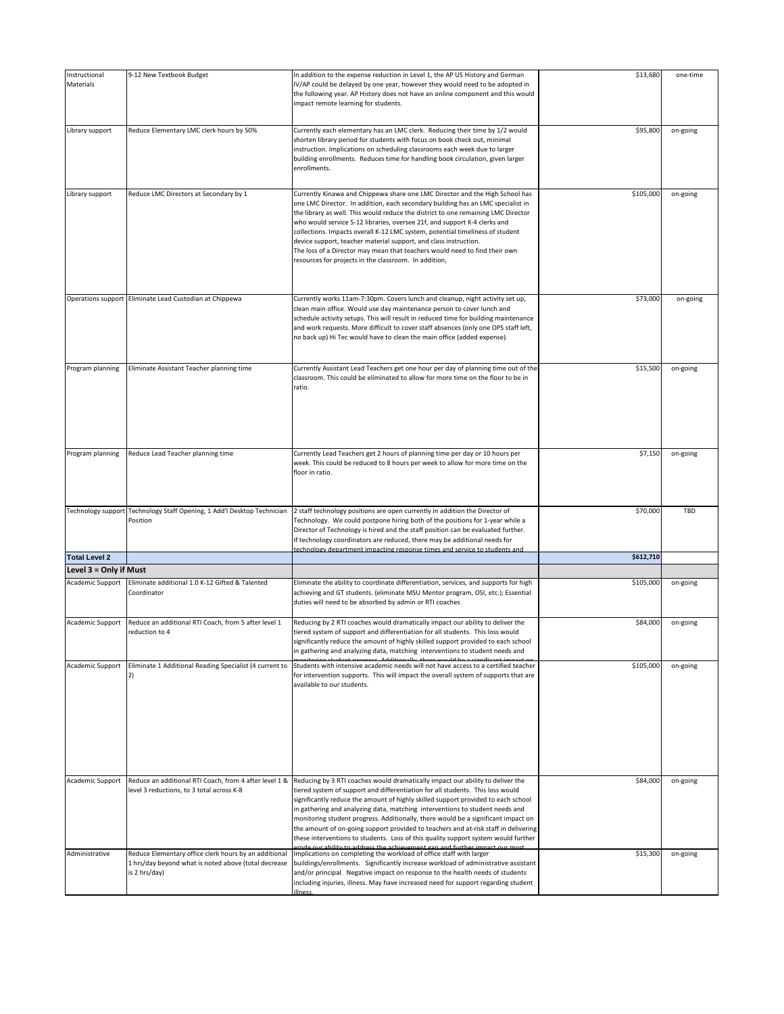| Instructional<br>Materials | 9-12 New Textbook Budget                                                                                                       | In addition to the expense reduction in Level 1, the AP US History and German<br>IV/AP could be delayed by one year, however they would need to be adopted in<br>the following year. AP History does not have an online component and this would<br>impact remote learning for students.                                                                                                                                                                                                                                                                                                                                      | \$13,680  | one-time |
|----------------------------|--------------------------------------------------------------------------------------------------------------------------------|-------------------------------------------------------------------------------------------------------------------------------------------------------------------------------------------------------------------------------------------------------------------------------------------------------------------------------------------------------------------------------------------------------------------------------------------------------------------------------------------------------------------------------------------------------------------------------------------------------------------------------|-----------|----------|
|                            |                                                                                                                                |                                                                                                                                                                                                                                                                                                                                                                                                                                                                                                                                                                                                                               |           |          |
| Library support            | Reduce Elementary LMC clerk hours by 50%                                                                                       | Currently each elementary has an LMC clerk. Reducing their time by 1/2 would<br>shorten library period for students with focus on book check out, minimal<br>instruction. Implications on scheduling classrooms each week due to larger<br>building enrollments. Reduces time for handling book circulation, given larger<br>enrollments.                                                                                                                                                                                                                                                                                     | \$95,800  | on-going |
| Library support            | Reduce LMC Directors at Secondary by 1                                                                                         | Currently Kinawa and Chippewa share one LMC Director and the High School has<br>one LMC Director. In addition, each secondary building has an LMC specialist in<br>the library as well. This would reduce the district to one remaining LMC Director<br>who would service 5-12 libraries, oversee 21f, and support K-4 clerks and<br>collections. Impacts overall K-12 LMC system, potential timeliness of student<br>device support, teacher material support, and class instruction.<br>The loss of a Director may mean that teachers would need to find their own<br>resources for projects in the classroom. In addition, | \$105,000 | on-going |
|                            | Operations support Eliminate Lead Custodian at Chippewa                                                                        | Currently works 11am-7:30pm. Covers lunch and cleanup, night activity set up,<br>clean main office. Would use day maintenance person to cover lunch and<br>schedule activity setups. This will result in reduced time for building maintenance<br>and work requests. More difficult to cover staff absences (only one OPS staff left,<br>no back up) Hi Tec would have to clean the main office (added expense).                                                                                                                                                                                                              | \$73,000  | on-going |
| Program planning           | Eliminate Assistant Teacher planning time                                                                                      | Currently Assistant Lead Teachers get one hour per day of planning time out of the<br>classroom. This could be eliminated to allow for more time on the floor to be in<br>ratio.                                                                                                                                                                                                                                                                                                                                                                                                                                              | \$15,500  | on-going |
| Program planning           | Reduce Lead Teacher planning time                                                                                              | Currently Lead Teachers get 2 hours of planning time per day or 10 hours per<br>week. This could be reduced to 8 hours per week to allow for more time on the<br>floor in ratio.                                                                                                                                                                                                                                                                                                                                                                                                                                              | \$7,150   | on-going |
| Technology support         | Technology Staff Opening, 1 Add'l Desktop Technician<br>Position                                                               | 2 staff technology positions are open currently in addition the Director of<br>Technology. We could postpone hiring both of the positions for 1-year while a<br>Director of Technology is hired and the staff position can be evaluated further.<br>If technology coordinators are reduced, there may be additional needs for<br>technology department impacting response times and service to students and                                                                                                                                                                                                                   | \$70,000  | TBD      |
| <b>Total Level 2</b>       |                                                                                                                                |                                                                                                                                                                                                                                                                                                                                                                                                                                                                                                                                                                                                                               | \$612,710 |          |
| Level 3 = Only if Must     |                                                                                                                                |                                                                                                                                                                                                                                                                                                                                                                                                                                                                                                                                                                                                                               |           |          |
| Academic Support           | Eliminate additional 1.0 K-12 Gifted & Talented<br>Coordinator                                                                 | Eliminate the ability to coordinate differentiation, services, and supports for high<br>achieving and GT students. (eliminate MSU Mentor program, OSI, etc.); Essential<br>duties will need to be absorbed by admin or RTI coaches                                                                                                                                                                                                                                                                                                                                                                                            | \$105,000 | on-going |
| Academic Support           | Reduce an additional RTI Coach, from 5 after level 1<br>reduction to 4                                                         | Reducing by 2 RTI coaches would dramatically impact our ability to deliver the<br>tiered system of support and differentiation for all students. This loss would<br>ignificantly reduce the amount of highly skilled support provided to each school<br>in gathering and analyzing data, matching interventions to student needs and                                                                                                                                                                                                                                                                                          | \$84,000  | on-going |
| Academic Support           | Eliminate 1 Additional Reading Specialist (4 current to<br>2)                                                                  | Students with intensive academic needs will not have access to a certified teacher<br>for intervention supports. This will impact the overall system of supports that are<br>available to our students.                                                                                                                                                                                                                                                                                                                                                                                                                       | \$105,000 | on-going |
| Academic Support           | Reduce an additional RTI Coach, from 4 after level 1 &<br>level 3 reductions, to 3 total across K-8                            | Reducing by 3 RTI coaches would dramatically impact our ability to deliver the<br>tiered system of support and differentiation for all students. This loss would<br>significantly reduce the amount of highly skilled support provided to each school<br>in gathering and analyzing data, matching interventions to student needs and<br>monitoring student progress. Additionally, there would be a significant impact on<br>the amount of on-going support provided to teachers and at-risk staff in delivering<br>these interventions to students. Loss of this quality support system would further                       | \$84,000  | on-going |
| Administrative             | Reduce Elementary office clerk hours by an additional<br>1 hrs/day beyond what is noted above (total decrease<br>is 2 hrs/day) | our ability to address the achievement gan and further imnact our most<br>Implications on completing the workload of office staff with larger<br>buildings/enrollments. Significantly increase workload of administrative assistant<br>and/or principal. Negative impact on response to the health needs of students<br>including injuries, illness. May have increased need for support regarding student<br>llness.                                                                                                                                                                                                         | \$15,300  | on-going |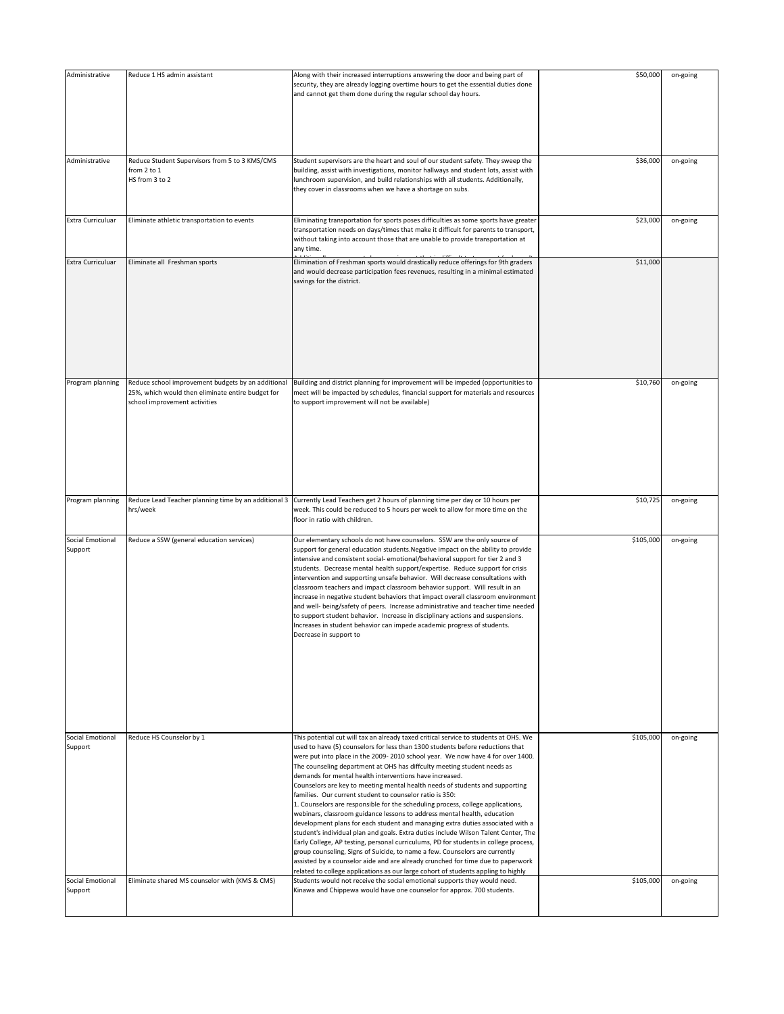| Administrative                     | Reduce 1 HS admin assistant                                                                                                              | Along with their increased interruptions answering the door and being part of<br>security, they are already logging overtime hours to get the essential duties done<br>and cannot get them done during the regular school day hours.                                                                                                                                                                                                                                                                                                                                                                                                                                                                                                                                                                                                                                                                                                                                                                                                                                                                                                                                                                                              | \$50,000  | on-going |
|------------------------------------|------------------------------------------------------------------------------------------------------------------------------------------|-----------------------------------------------------------------------------------------------------------------------------------------------------------------------------------------------------------------------------------------------------------------------------------------------------------------------------------------------------------------------------------------------------------------------------------------------------------------------------------------------------------------------------------------------------------------------------------------------------------------------------------------------------------------------------------------------------------------------------------------------------------------------------------------------------------------------------------------------------------------------------------------------------------------------------------------------------------------------------------------------------------------------------------------------------------------------------------------------------------------------------------------------------------------------------------------------------------------------------------|-----------|----------|
| Administrative                     | Reduce Student Supervisors from 5 to 3 KMS/CMS<br>from 2 to 1<br>HS from 3 to 2                                                          | Student supervisors are the heart and soul of our student safety. They sweep the<br>building, assist with investigations, monitor hallways and student lots, assist with<br>lunchroom supervision, and build relationships with all students. Additionally,<br>they cover in classrooms when we have a shortage on subs.                                                                                                                                                                                                                                                                                                                                                                                                                                                                                                                                                                                                                                                                                                                                                                                                                                                                                                          | \$36,000  | on-going |
| Extra Curriculuar                  | Eliminate athletic transportation to events                                                                                              | Eliminating transportation for sports poses difficulties as some sports have greater<br>transportation needs on days/times that make it difficult for parents to transport,<br>without taking into account those that are unable to provide transportation at<br>any time.                                                                                                                                                                                                                                                                                                                                                                                                                                                                                                                                                                                                                                                                                                                                                                                                                                                                                                                                                        | \$23,000  | on-going |
| Extra Curriculuar                  | Eliminate all Freshman sports                                                                                                            | Elimination of Freshman sports would drastically reduce offerings for 9th graders<br>and would decrease participation fees revenues, resulting in a minimal estimated<br>savings for the district.                                                                                                                                                                                                                                                                                                                                                                                                                                                                                                                                                                                                                                                                                                                                                                                                                                                                                                                                                                                                                                | \$11,000  |          |
| Program planning                   | Reduce school improvement budgets by an additional<br>25%, which would then eliminate entire budget for<br>school improvement activities | Building and district planning for improvement will be impeded (opportunities to<br>meet will be impacted by schedules, financial support for materials and resources<br>to support improvement will not be available)                                                                                                                                                                                                                                                                                                                                                                                                                                                                                                                                                                                                                                                                                                                                                                                                                                                                                                                                                                                                            | \$10,760  | on-going |
| Program planning                   | Reduce Lead Teacher planning time by an additional 3<br>hrs/week                                                                         | Currently Lead Teachers get 2 hours of planning time per day or 10 hours per<br>week. This could be reduced to 5 hours per week to allow for more time on the<br>floor in ratio with children.                                                                                                                                                                                                                                                                                                                                                                                                                                                                                                                                                                                                                                                                                                                                                                                                                                                                                                                                                                                                                                    | \$10,725  | on-going |
| Social Emotional<br>Support        | Reduce a SSW (general education services)                                                                                                | Our elementary schools do not have counselors. SSW are the only source of<br>support for general education students. Negative impact on the ability to provide<br>intensive and consistent social- emotional/behavioral support for tier 2 and 3<br>students. Decrease mental health support/expertise. Reduce support for crisis<br>intervention and supporting unsafe behavior. Will decrease consultations with<br>classroom teachers and impact classroom behavior support. Will result in an<br>increase in negative student behaviors that impact overall classroom environment<br>and well- being/safety of peers. Increase administrative and teacher time needed<br>to support student behavior. Increase in disciplinary actions and suspensions.<br>Increases in student behavior can impede academic progress of students.<br>Decrease in support to                                                                                                                                                                                                                                                                                                                                                                  | \$105,000 | on-going |
| <b>Social Emotional</b><br>Support | Reduce HS Counselor by 1                                                                                                                 | This potential cut will tax an already taxed critical service to students at OHS. We<br>used to have (5) counselors for less than 1300 students before reductions that<br>were put into place in the 2009-2010 school year. We now have 4 for over 1400.<br>The counseling department at OHS has diffculty meeting student needs as<br>demands for mental health interventions have increased.<br>Counselors are key to meeting mental health needs of students and supporting<br>families. Our current student to counselor ratio is 350:<br>1. Counselors are responsible for the scheduling process, college applications,<br>webinars, classroom guidance lessons to address mental health, education<br>development plans for each student and managing extra duties associated with a<br>student's individual plan and goals. Extra duties include Wilson Talent Center, The<br>Early College, AP testing, personal curriculums, PD for students in college process,<br>group counseling, Signs of Suicide, to name a few. Counselors are currently<br>assisted by a counselor aide and are already crunched for time due to paperwork<br>related to college applications as our large cohort of students appling to highly | \$105,000 | on-going |
| Social Emotional                   |                                                                                                                                          |                                                                                                                                                                                                                                                                                                                                                                                                                                                                                                                                                                                                                                                                                                                                                                                                                                                                                                                                                                                                                                                                                                                                                                                                                                   |           |          |